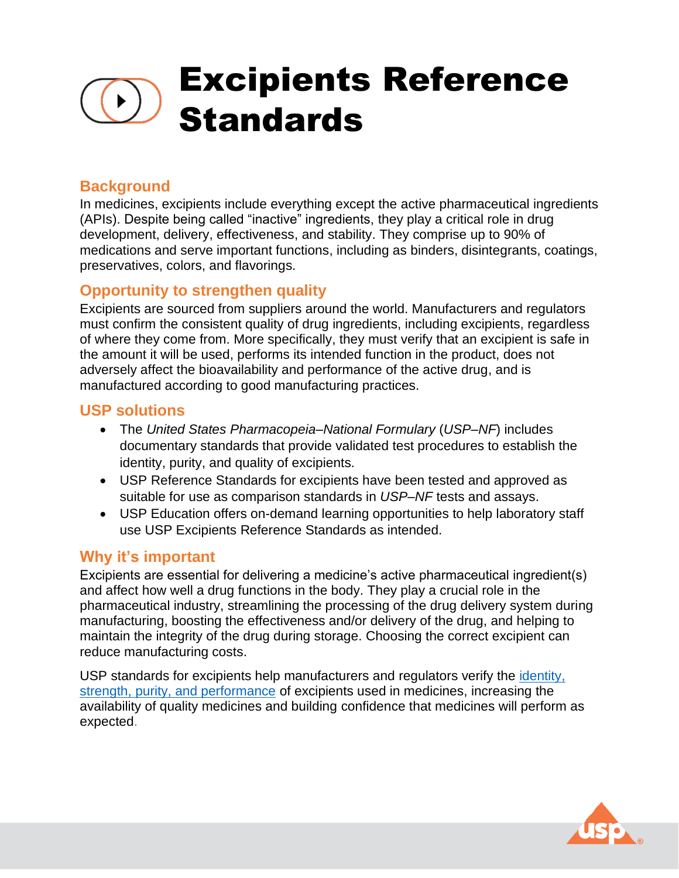# Excipients Reference **Standards**

# **Background**

In medicines, excipients include everything except the active pharmaceutical ingredients (APIs). Despite being called "inactive" ingredients, they play a critical role in drug development, delivery, effectiveness, and stability. They comprise up to 90% of medications and serve important functions, including as binders, disintegrants, coatings, preservatives, colors, and flavorings.

#### **Opportunity to strengthen quality**

Excipients are sourced from suppliers around the world. Manufacturers and regulators must confirm the consistent quality of drug ingredients, including excipients, regardless of where they come from. More specifically, they must verify that an excipient is safe in the amount it will be used, performs its intended function in the product, does not adversely affect the bioavailability and performance of the active drug, and is manufactured according to good manufacturing practices.

#### **USP solutions**

- The *United States Pharmacopeia–National Formulary* (*USP–NF*) includes documentary standards that provide validated test procedures to establish the identity, purity, and quality of excipients.
- USP Reference Standards for excipients have been tested and approved as suitable for use as comparison standards in *USP–NF* tests and assays.
- USP Education offers on-demand learning opportunities to help laboratory staff use USP Excipients Reference Standards as intended.

## **Why it's important**

Excipients are essential for delivering a medicine's active pharmaceutical ingredient(s) and affect how well a drug functions in the body. They play a crucial role in the pharmaceutical industry, streamlining the processing of the drug delivery system during manufacturing, boosting the effectiveness and/or delivery of the drug, and helping to maintain the integrity of the drug during storage. Choosing the correct excipient can reduce manufacturing costs.

USP standards for excipients help manufacturers and regulators verify the [identity,](https://www.usp.org/about/public-policy/overview-of-monographs) [strength, purity, and performance](https://www.usp.org/about/public-policy/overview-of-monographs) of excipients used in medicines, increasing the availability of quality medicines and building confidence that medicines will perform as expected.